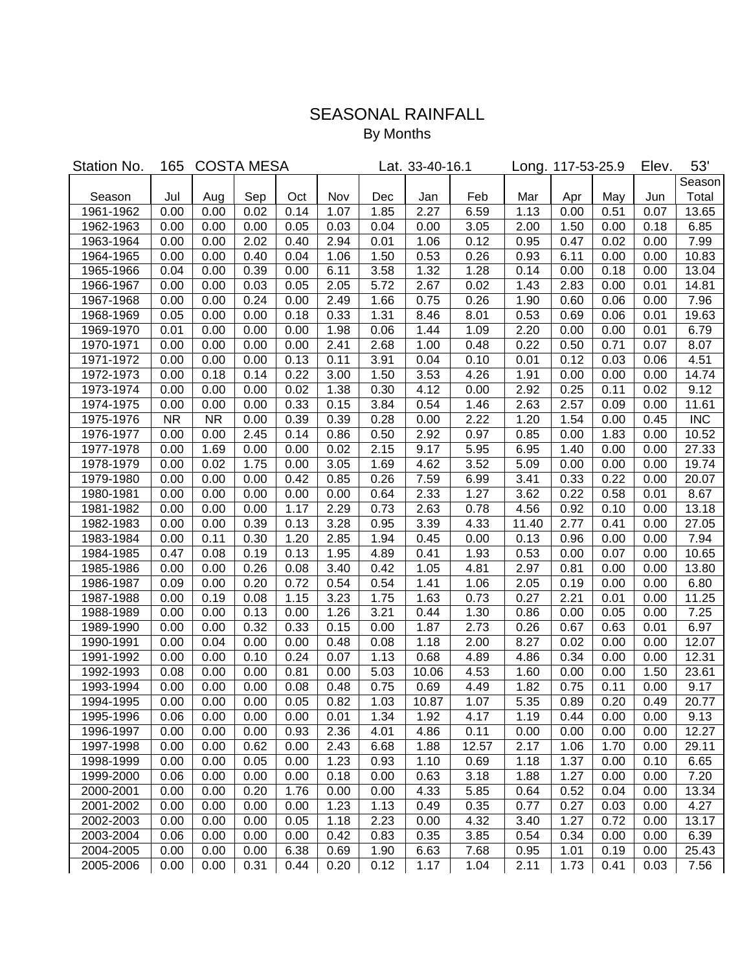## SEASONAL RAINFALL

By Months

| Station No. | 165       | <b>COSTA MESA</b> |      |      |      | Lat. 33-40-16.1 | Long. 117-53-25.9 |       |       | Elev. | 53'  |      |            |
|-------------|-----------|-------------------|------|------|------|-----------------|-------------------|-------|-------|-------|------|------|------------|
|             |           |                   |      |      |      |                 |                   |       |       |       |      |      | Season     |
| Season      | Jul       | Aug               | Sep  | Oct  | Nov  | Dec             | Jan               | Feb   | Mar   | Apr   | May  | Jun  | Total      |
| 1961-1962   | 0.00      | 0.00              | 0.02 | 0.14 | 1.07 | 1.85            | 2.27              | 6.59  | 1.13  | 0.00  | 0.51 | 0.07 | 13.65      |
| 1962-1963   | 0.00      | 0.00              | 0.00 | 0.05 | 0.03 | 0.04            | 0.00              | 3.05  | 2.00  | 1.50  | 0.00 | 0.18 | 6.85       |
| 1963-1964   | 0.00      | 0.00              | 2.02 | 0.40 | 2.94 | 0.01            | 1.06              | 0.12  | 0.95  | 0.47  | 0.02 | 0.00 | 7.99       |
| 1964-1965   | 0.00      | 0.00              | 0.40 | 0.04 | 1.06 | 1.50            | 0.53              | 0.26  | 0.93  | 6.11  | 0.00 | 0.00 | 10.83      |
| 1965-1966   | 0.04      | 0.00              | 0.39 | 0.00 | 6.11 | 3.58            | 1.32              | 1.28  | 0.14  | 0.00  | 0.18 | 0.00 | 13.04      |
| 1966-1967   | 0.00      | 0.00              | 0.03 | 0.05 | 2.05 | 5.72            | 2.67              | 0.02  | 1.43  | 2.83  | 0.00 | 0.01 | 14.81      |
| 1967-1968   | 0.00      | 0.00              | 0.24 | 0.00 | 2.49 | 1.66            | 0.75              | 0.26  | 1.90  | 0.60  | 0.06 | 0.00 | 7.96       |
| 1968-1969   | 0.05      | 0.00              | 0.00 | 0.18 | 0.33 | 1.31            | 8.46              | 8.01  | 0.53  | 0.69  | 0.06 | 0.01 | 19.63      |
| 1969-1970   | 0.01      | 0.00              | 0.00 | 0.00 | 1.98 | 0.06            | 1.44              | 1.09  | 2.20  | 0.00  | 0.00 | 0.01 | 6.79       |
| 1970-1971   | 0.00      | 0.00              | 0.00 | 0.00 | 2.41 | 2.68            | 1.00              | 0.48  | 0.22  | 0.50  | 0.71 | 0.07 | 8.07       |
| 1971-1972   | 0.00      | 0.00              | 0.00 | 0.13 | 0.11 | 3.91            | 0.04              | 0.10  | 0.01  | 0.12  | 0.03 | 0.06 | 4.51       |
| 1972-1973   | 0.00      | 0.18              | 0.14 | 0.22 | 3.00 | 1.50            | 3.53              | 4.26  | 1.91  | 0.00  | 0.00 | 0.00 | 14.74      |
| 1973-1974   | 0.00      | 0.00              | 0.00 | 0.02 | 1.38 | 0.30            | 4.12              | 0.00  | 2.92  | 0.25  | 0.11 | 0.02 | 9.12       |
| 1974-1975   | 0.00      | 0.00              | 0.00 | 0.33 | 0.15 | 3.84            | 0.54              | 1.46  | 2.63  | 2.57  | 0.09 | 0.00 | 11.61      |
| 1975-1976   | <b>NR</b> | <b>NR</b>         | 0.00 | 0.39 | 0.39 | 0.28            | 0.00              | 2.22  | 1.20  | 1.54  | 0.00 | 0.45 | <b>INC</b> |
| 1976-1977   | 0.00      | 0.00              | 2.45 | 0.14 | 0.86 | 0.50            | 2.92              | 0.97  | 0.85  | 0.00  | 1.83 | 0.00 | 10.52      |
| 1977-1978   | 0.00      | 1.69              | 0.00 | 0.00 | 0.02 | 2.15            | 9.17              | 5.95  | 6.95  | 1.40  | 0.00 | 0.00 | 27.33      |
| 1978-1979   | 0.00      | 0.02              | 1.75 | 0.00 | 3.05 | 1.69            | 4.62              | 3.52  | 5.09  | 0.00  | 0.00 | 0.00 | 19.74      |
| 1979-1980   | 0.00      | 0.00              | 0.00 | 0.42 | 0.85 | 0.26            | 7.59              | 6.99  | 3.41  | 0.33  | 0.22 | 0.00 | 20.07      |
| 1980-1981   | 0.00      | 0.00              | 0.00 | 0.00 | 0.00 | 0.64            | 2.33              | 1.27  | 3.62  | 0.22  | 0.58 | 0.01 | 8.67       |
| 1981-1982   | 0.00      | 0.00              | 0.00 | 1.17 | 2.29 | 0.73            | 2.63              | 0.78  | 4.56  | 0.92  | 0.10 | 0.00 | 13.18      |
| 1982-1983   | 0.00      | 0.00              | 0.39 | 0.13 | 3.28 | 0.95            | 3.39              | 4.33  | 11.40 | 2.77  | 0.41 | 0.00 | 27.05      |
| 1983-1984   | 0.00      | 0.11              | 0.30 | 1.20 | 2.85 | 1.94            | 0.45              | 0.00  | 0.13  | 0.96  | 0.00 | 0.00 | 7.94       |
| 1984-1985   | 0.47      | 0.08              | 0.19 | 0.13 | 1.95 | 4.89            | 0.41              | 1.93  | 0.53  | 0.00  | 0.07 | 0.00 | 10.65      |
| 1985-1986   | 0.00      | 0.00              | 0.26 | 0.08 | 3.40 | 0.42            | 1.05              | 4.81  | 2.97  | 0.81  | 0.00 | 0.00 | 13.80      |
| 1986-1987   | 0.09      | 0.00              | 0.20 | 0.72 | 0.54 | 0.54            | 1.41              | 1.06  | 2.05  | 0.19  | 0.00 | 0.00 | 6.80       |
| 1987-1988   | 0.00      | 0.19              | 0.08 | 1.15 | 3.23 | 1.75            | 1.63              | 0.73  | 0.27  | 2.21  | 0.01 | 0.00 | 11.25      |
| 1988-1989   | 0.00      | 0.00              | 0.13 | 0.00 | 1.26 | 3.21            | 0.44              | 1.30  | 0.86  | 0.00  | 0.05 | 0.00 | 7.25       |
| 1989-1990   | 0.00      | 0.00              | 0.32 | 0.33 | 0.15 | 0.00            | 1.87              | 2.73  | 0.26  | 0.67  | 0.63 | 0.01 | 6.97       |
| 1990-1991   | 0.00      | 0.04              | 0.00 | 0.00 | 0.48 | 0.08            | 1.18              | 2.00  | 8.27  | 0.02  | 0.00 | 0.00 | 12.07      |
| 1991-1992   | 0.00      | 0.00              | 0.10 | 0.24 | 0.07 | 1.13            | 0.68              | 4.89  | 4.86  | 0.34  | 0.00 | 0.00 | 12.31      |
| 1992-1993   | 0.08      | 0.00              | 0.00 | 0.81 | 0.00 | 5.03            | 10.06             | 4.53  | 1.60  | 0.00  | 0.00 | 1.50 | 23.61      |
| 1993-1994   | 0.00      | 0.00              | 0.00 | 0.08 | 0.48 | 0.75            | 0.69              | 4.49  | 1.82  | 0.75  | 0.11 | 0.00 | 9.17       |
| 1994-1995   | 0.00      | 0.00              | 0.00 | 0.05 | 0.82 | 1.03            | 10.87             | 1.07  | 5.35  | 0.89  | 0.20 | 0.49 | 20.77      |
| 1995-1996   | 0.06      | 0.00              | 0.00 | 0.00 | 0.01 | 1.34            | 1.92              | 4.17  | 1.19  | 0.44  | 0.00 | 0.00 | 9.13       |
| 1996-1997   | 0.00      | 0.00              | 0.00 | 0.93 | 2.36 | 4.01            | 4.86              | 0.11  | 0.00  | 0.00  | 0.00 | 0.00 | 12.27      |
| 1997-1998   | 0.00      | 0.00              | 0.62 | 0.00 | 2.43 | 6.68            | 1.88              | 12.57 | 2.17  | 1.06  | 1.70 | 0.00 | 29.11      |
| 1998-1999   | 0.00      | 0.00              | 0.05 | 0.00 | 1.23 | 0.93            | 1.10              | 0.69  | 1.18  | 1.37  | 0.00 | 0.10 | 6.65       |
| 1999-2000   | 0.06      | 0.00              | 0.00 | 0.00 | 0.18 | 0.00            | 0.63              | 3.18  | 1.88  | 1.27  | 0.00 | 0.00 | 7.20       |
| 2000-2001   | 0.00      | 0.00              | 0.20 | 1.76 | 0.00 | 0.00            | 4.33              | 5.85  | 0.64  | 0.52  | 0.04 | 0.00 | 13.34      |
| 2001-2002   | 0.00      | 0.00              | 0.00 | 0.00 | 1.23 | 1.13            | 0.49              | 0.35  | 0.77  | 0.27  | 0.03 | 0.00 | 4.27       |
| 2002-2003   | 0.00      | 0.00              | 0.00 | 0.05 | 1.18 | 2.23            | 0.00              | 4.32  | 3.40  | 1.27  | 0.72 | 0.00 | 13.17      |
| 2003-2004   | 0.06      | 0.00              | 0.00 | 0.00 | 0.42 | 0.83            | 0.35              | 3.85  | 0.54  | 0.34  | 0.00 | 0.00 | 6.39       |
| 2004-2005   | 0.00      | 0.00              | 0.00 | 6.38 | 0.69 | 1.90            | 6.63              | 7.68  | 0.95  | 1.01  | 0.19 | 0.00 | 25.43      |
| 2005-2006   | 0.00      | 0.00              | 0.31 | 0.44 | 0.20 | 0.12            | 1.17              | 1.04  | 2.11  | 1.73  | 0.41 | 0.03 | 7.56       |
|             |           |                   |      |      |      |                 |                   |       |       |       |      |      |            |